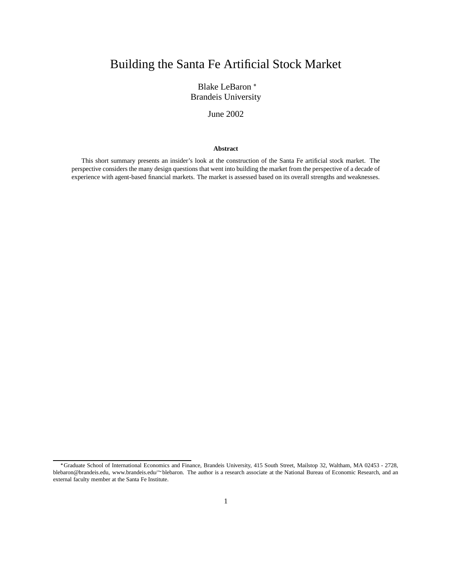# Building the Santa Fe Artificial Stock Market

Blake LeBaron Brandeis University

June 2002

#### **Abstract**

This short summary presents an insider's look at the construction of the Santa Fe artificial stock market. The perspective considers the many design questions that went into building the market from the perspective of a decade of experience with agent-based financial markets. The market is assessed based on its overall strengths and weaknesses.

Graduate School of International Economics and Finance, Brandeis University, 415 South Street, Mailstop 32, Waltham, MA 02453 - 2728, blebaron@brandeis.edu, www.brandeis.edu/~blebaron. The author is a research associate at the National Bureau of Economic Research, and an external faculty member at the Santa Fe Institute.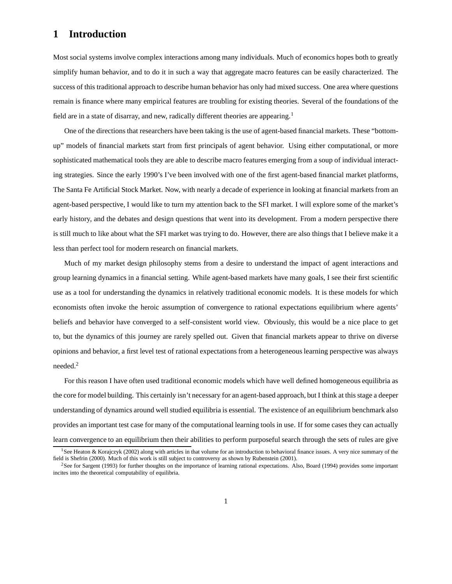# **1 Introduction**

Most social systems involve complex interactions among many individuals. Much of economics hopes both to greatly simplify human behavior, and to do it in such a way that aggregate macro features can be easily characterized. The success of this traditional approach to describe human behavior has only had mixed success. One area where questions remain is finance where many empirical features are troubling for existing theories. Several of the foundations of the field are in a state of disarray, and new, radically different theories are appearing.<sup>1</sup>

One of the directions that researchers have been taking is the use of agent-based financial markets. These "bottomup" models of financial markets start from first principals of agent behavior. Using either computational, or more sophisticated mathematical tools they are able to describe macro features emerging from a soup of individual interacting strategies. Since the early 1990's I've been involved with one of the first agent-based financial market platforms, The Santa Fe Artificial Stock Market. Now, with nearly a decade of experience in looking at financial markets from an agent-based perspective, I would like to turn my attention back to the SFI market. I will explore some of the market's early history, and the debates and design questions that went into its development. From a modern perspective there is still much to like about what the SFI market was trying to do. However, there are also things that I believe make it a less than perfect tool for modern research on financial markets.

Much of my market design philosophy stems from a desire to understand the impact of agent interactions and group learning dynamics in a financial setting. While agent-based markets have many goals, I see their first scientific use as a tool for understanding the dynamics in relatively traditional economic models. It is these models for which economists often invoke the heroic assumption of convergence to rational expectations equilibrium where agents' beliefs and behavior have converged to a self-consistent world view. Obviously, this would be a nice place to get to, but the dynamics of this journey are rarely spelled out. Given that financial markets appear to thrive on diverse opinions and behavior, a first level test of rational expectations from a heterogeneous learning perspective was always needed.<sup>2</sup>

For this reason I have often used traditional economic models which have well defined homogeneous equilibria as the core for model building. This certainly isn't necessary for an agent-based approach, but I think at this stage a deeper understanding of dynamics around well studied equilibria is essential. The existence of an equilibrium benchmark also provides an important test case for many of the computational learning tools in use. If for some cases they can actually learn convergence to an equilibrium then their abilities to perform purposeful search through the sets of rules are give

<sup>&</sup>lt;sup>1</sup>See Heaton & Korajczyk (2002) along with articles in that volume for an introduction to behavioral finance issues. A very nice summary of the field is Shefrin (2000). Much of this work is still subject to controversy as shown by Rubenstein (2001).

<sup>&</sup>lt;sup>2</sup>See for Sargent (1993) for further thoughts on the importance of learning rational expectations. Also, Board (1994) provides some important incites into the theoretical computability of equilibria.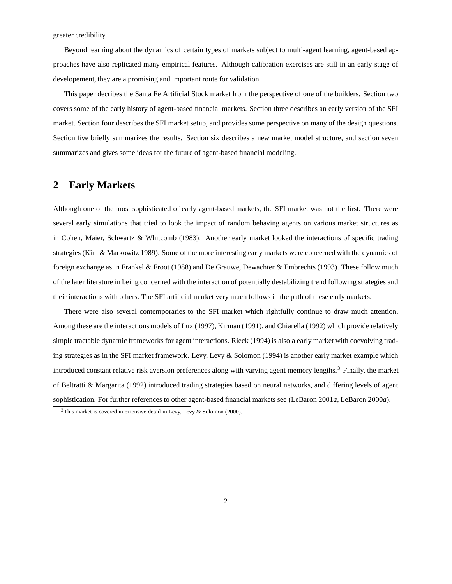greater credibility.

Beyond learning about the dynamics of certain types of markets subject to multi-agent learning, agent-based approaches have also replicated many empirical features. Although calibration exercises are still in an early stage of developement, they are a promising and important route for validation.

This paper decribes the Santa Fe Artificial Stock market from the perspective of one of the builders. Section two covers some of the early history of agent-based financial markets. Section three describes an early version of the SFI market. Section four describes the SFI market setup, and provides some perspective on many of the design questions. Section five briefly summarizes the results. Section six describes a new market model structure, and section seven summarizes and gives some ideas for the future of agent-based financial modeling.

### **2 Early Markets**

Although one of the most sophisticated of early agent-based markets, the SFI market was not the first. There were several early simulations that tried to look the impact of random behaving agents on various market structures as in Cohen, Maier, Schwartz & Whitcomb (1983). Another early market looked the interactions of specific trading strategies (Kim & Markowitz 1989). Some of the more interesting early markets were concerned with the dynamics of foreign exchange as in Frankel & Froot (1988) and De Grauwe, Dewachter & Embrechts (1993). These follow much of the later literature in being concerned with the interaction of potentially destabilizing trend following strategies and their interactions with others. The SFI artificial market very much follows in the path of these early markets.

There were also several contemporaries to the SFI market which rightfully continue to draw much attention. Among these are the interactions models of Lux (1997), Kirman (1991), and Chiarella (1992) which provide relatively simple tractable dynamic frameworks for agent interactions. Rieck (1994) is also a early market with coevolving trading strategies as in the SFI market framework. Levy, Levy & Solomon (1994) is another early market example which introduced constant relative risk aversion preferences along with varying agent memory lengths.<sup>3</sup> Finally, the market of Beltratti & Margarita (1992) introduced trading strategies based on neural networks, and differing levels of agent sophistication. For further references to other agent-based financial markets see (LeBaron 2001*a*, LeBaron 2000*a*).

 $3$ This market is covered in extensive detail in Levy, Levy & Solomon (2000).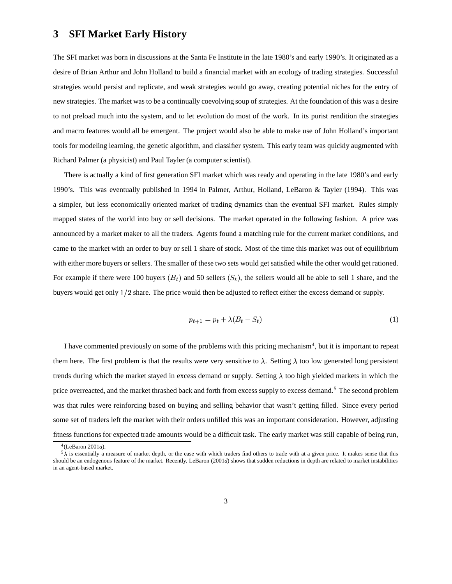### **3 SFI Market Early History**

The SFI market was born in discussions at the Santa Fe Institute in the late 1980's and early 1990's. It originated as a desire of Brian Arthur and John Holland to build a financial market with an ecology of trading strategies. Successful strategies would persist and replicate, and weak strategies would go away, creating potential niches for the entry of new strategies. The market was to be a continually coevolving soup of strategies. At the foundation of this was a desire to not preload much into the system, and to let evolution do most of the work. In its purist rendition the strategies and macro features would all be emergent. The project would also be able to make use of John Holland's important tools for modeling learning, the genetic algorithm, and classifier system. This early team was quickly augmented with Richard Palmer (a physicist) and Paul Tayler (a computer scientist).

There is actually a kind of first generation SFI market which was ready and operating in the late 1980's and early 1990's. This was eventually published in 1994 in Palmer, Arthur, Holland, LeBaron & Tayler (1994). This was a simpler, but less economically oriented market of trading dynamics than the eventual SFI market. Rules simply mapped states of the world into buy or sell decisions. The market operated in the following fashion. A price was announced by a market maker to all the traders. Agents found a matching rule for the current market conditions, and came to the market with an order to buy or sell 1 share of stock. Most of the time this market was out of equilibrium with either more buyers or sellers. The smaller of these two sets would get satisfied while the other would get rationed. For example if there were 100 buyers  $(B_t)$  and 50 sellers  $(S_t)$ , the sellers would all be able to sell 1 share, and the buyers would get only 1/2 share. The price would then be adjusted to reflect either the excess demand or supply.

$$
p_{t+1} = p_t + \lambda (B_t - S_t) \tag{1}
$$

I have commented previously on some of the problems with this pricing mechanism<sup>4</sup>, but it is important to repeat them here. The first problem is that the results were very sensitive to  $\lambda$ . Setting  $\lambda$  too low generated long persistent trends during which the market stayed in excess demand or supply. Setting  $\lambda$  too high yielded markets in which the price overreacted, and the market thrashed back and forth from excess supply to excess demand.<sup>5</sup> The second problem was that rules were reinforcing based on buying and selling behavior that wasn't getting filled. Since every period some set of traders left the market with their orders unfilled this was an important consideration. However, adjusting fitness functions for expected trade amounts would be a difficult task. The early market was still capable of being run,

<sup>4</sup> (LeBaron 2001*a*).

 $5\lambda$  is essentially a measure of market depth, or the ease with which traders find others to trade with at a given price. It makes sense that this should be an endogenous feature of the market. Recently, LeBaron (2001*d*) shows that sudden reductions in depth are related to market instabilities in an agent-based market.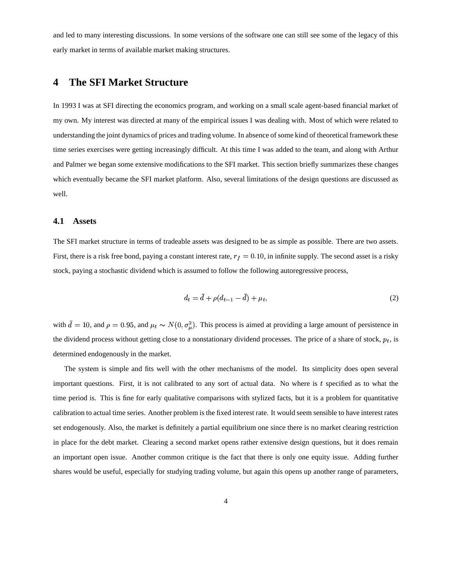and led to many interesting discussions. In some versions of the software one can still see some of the legacy of this early market in terms of available market making structures.

### **4 The SFI Market Structure**

In 1993 I was at SFI directing the economics program, and working on a small scale agent-based financial market of my own. My interest was directed at many of the empirical issues I was dealing with. Most of which were related to understanding the joint dynamics of prices and trading volume. In absence of some kind of theoretical framework these time series exercises were getting increasingly difficult. At this time I was added to the team, and along with Arthur and Palmer we began some extensive modifications to the SFI market. This section briefly summarizes these changes which eventually became the SFI market platform. Also, several limitations of the design questions are discussed as well.

#### **4.1 Assets**

The SFI market structure in terms of tradeable assets was designed to be as simple as possible. There are two assets. First, there is a risk free bond, paying a constant interest rate,  $r_f = 0.10$ , in infinite supply. The second asset is a risky stock, paying a stochastic dividend which is assumed to follow the following autoregressive process,

$$
d_t = \bar{d} + \rho(d_{t-1} - \bar{d}) + \mu_t,\tag{2}
$$

with  $d = 10$ , and  $\rho = 0.95$ , and  $\mu_t \sim N(0, \sigma_u^2)$ . This process is aimed at providing a large amount of persistence in the dividend process without getting close to a nonstationary dividend processes. The price of a share of stock,  $p_t$ , is determined endogenously in the market.

The system is simple and fits well with the other mechanisms of the model. Its simplicity does open several important questions. First, it is not calibrated to any sort of actual data. No where is  $t$  specified as to what the time period is. This is fine for early qualitative comparisons with stylized facts, but it is a problem for quantitative calibration to actual time series. Another problem is the fixed interest rate. It would seem sensible to have interest rates set endogenously. Also, the market is definitely a partial equilibrium one since there is no market clearing restriction in place for the debt market. Clearing a second market opens rather extensive design questions, but it does remain an important open issue. Another common critique is the fact that there is only one equity issue. Adding further shares would be useful, especially for studying trading volume, but again this opens up another range of parameters,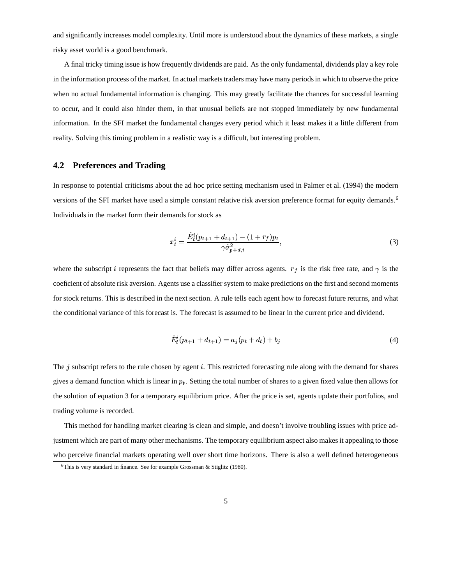and significantly increases model complexity. Until more is understood about the dynamics of these markets, a single risky asset world is a good benchmark.

A final tricky timing issue is how frequently dividends are paid. As the only fundamental, dividends play a key role in the information process of the market. In actual markets traders may have many periods in which to observe the price when no actual fundamental information is changing. This may greatly facilitate the chances for successful learning to occur, and it could also hinder them, in that unusual beliefs are not stopped immediately by new fundamental information. In the SFI market the fundamental changes every period which it least makes it a little different from reality. Solving this timing problem in a realistic way is a difficult, but interesting problem.

#### **4.2 Preferences and Trading**

In response to potential criticisms about the ad hoc price setting mechanism used in Palmer et al. (1994) the modern versions of the SFI market have used a simple constant relative risk aversion preference format for equity demands.<sup>6</sup> Individuals in the market form their demands for stock as

$$
x_t^i = \frac{\hat{E}_t^i (p_{t+1} + d_{t+1}) - (1 + r_f) p_t}{\gamma \hat{\sigma}_{p+d,i}^2},
$$
\n(3)

where the subscript *i* represents the fact that beliefs may differ across agents.  $r_f$  is the risk free rate, and  $\gamma$  is the coeficient of absolute risk aversion. Agents use a classifier system to make predictions on the first and second moments for stock returns. This is described in the next section. A rule tells each agent how to forecast future returns, and what the conditional variance of this forecast is. The forecast is assumed to be linear in the current price and dividend.

$$
\hat{E}_t^i(p_{t+1} + d_{t+1}) = a_i(p_t + d_t) + b_i \tag{4}
$$

The  $j$  subscript refers to the rule chosen by agent  $i$ . This restricted forecasting rule along with the demand for shares gives a demand function which is linear in  $p_t$ . Setting the total number of shares to a given fixed value then allows for the solution of equation 3 for a temporary equilibrium price. After the price is set, agents update their portfolios, and trading volume is recorded.

This method for handling market clearing is clean and simple, and doesn't involve troubling issues with price adjustment which are part of many other mechanisms. The temporary equilibrium aspect also makes it appealing to those who perceive financial markets operating well over short time horizons. There is also a well defined heterogeneous

<sup>&</sup>lt;sup>6</sup>This is very standard in finance. See for example Grossman & Stiglitz (1980).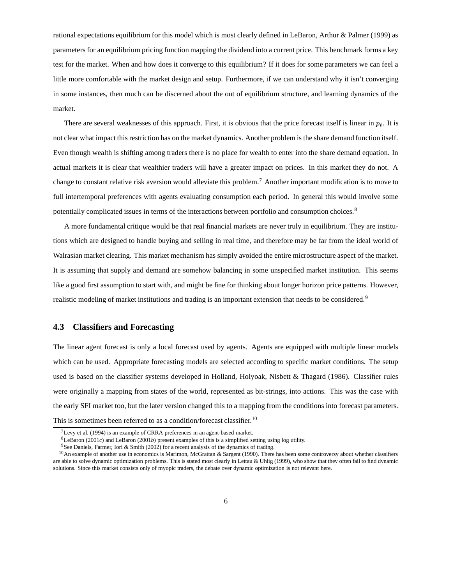rational expectations equilibrium for this model which is most clearly defined in LeBaron, Arthur & Palmer (1999) as parameters for an equilibrium pricing function mapping the dividend into a current price. This benchmark forms a key test for the market. When and how does it converge to this equilibrium? If it does for some parameters we can feel a little more comfortable with the market design and setup. Furthermore, if we can understand why it isn't converging in some instances, then much can be discerned about the out of equilibrium structure, and learning dynamics of the market.

There are several weaknesses of this approach. First, it is obvious that the price forecast itself is linear in  $p_t$ . It is not clear what impact this restriction has on the market dynamics. Another problem is the share demand function itself. Even though wealth is shifting among traders there is no place for wealth to enter into the share demand equation. In actual markets it is clear that wealthier traders will have a greater impact on prices. In this market they do not. A change to constant relative risk aversion would alleviate this problem.<sup>7</sup> Another important modification is to move to full intertemporal preferences with agents evaluating consumption each period. In general this would involve some potentially complicated issues in terms of the interactions between portfolio and consumption choices.<sup>8</sup>

A more fundamental critique would be that real financial markets are never truly in equilibrium. They are institutions which are designed to handle buying and selling in real time, and therefore may be far from the ideal world of Walrasian market clearing. This market mechanism has simply avoided the entire microstructure aspect of the market. It is assuming that supply and demand are somehow balancing in some unspecified market institution. This seems like a good first assumption to start with, and might be fine for thinking about longer horizon price patterns. However, realistic modeling of market institutions and trading is an important extension that needs to be considered.<sup>9</sup>

#### **4.3 Classifiers and Forecasting**

The linear agent forecast is only a local forecast used by agents. Agents are equipped with multiple linear models which can be used. Appropriate forecasting models are selected according to specific market conditions. The setup used is based on the classifier systems developed in Holland, Holyoak, Nisbett & Thagard (1986). Classifier rules were originally a mapping from states of the world, represented as bit-strings, into actions. This was the case with the early SFI market too, but the later version changed this to a mapping from the conditions into forecast parameters. This is sometimes been referred to as a condition/forecast classifier.<sup>10</sup>

 $7$ Levy et al. (1994) is an example of CRRA preferences in an agent-based market.

 $8$ LeBaron (2001*c*) and LeBaron (2001*b*) present examples of this is a simplified setting using log utility.

<sup>&</sup>lt;sup>9</sup>See Daniels, Farmer, Iori & Smith (2002) for a recent analysis of the dynamics of trading.

<sup>&</sup>lt;sup>10</sup>An example of another use in economics is Marimon, McGrattan & Sargent (1990). There has been some controversy about whether classifiers are able to solve dynamic optimization problems. This is stated most clearly in Lettau & Uhlig (1999), who show that they often fail to find dynamic solutions. Since this market consists only of myopic traders, the debate over dynamic optimization is not relevant here.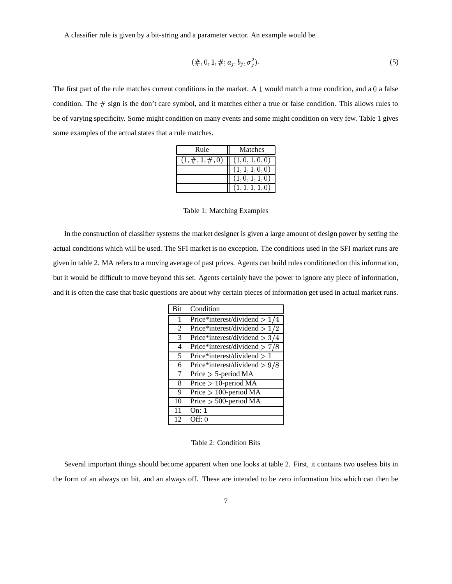A classifier rule is given by a bit-string and a parameter vector. An example would be

$$
(\#,0,1,\#,a_j,b_j,\sigma_j^2). \tag{5}
$$

The first part of the rule matches current conditions in the market. A 1 would match a true condition, and a 0 a false condition. The  $\#$  sign is the don't care symbol, and it matches either a true or false condition. This allows rules to be of varying specificity. Some might condition on many events and some might condition on very few. Table 1 gives some examples of the actual states that a rule matches.

| Rule                | Matches         |
|---------------------|-----------------|
| $(1, \#, 1, \#, 0)$ | (1,0,1,0,0)     |
|                     | (1, 1, 1, 0, 0) |
|                     | (1, 0, 1, 1, 0) |
|                     | (1,1,1,1,0)     |

Table 1: Matching Examples

In the construction of classifier systems the market designer is given a large amount of design power by setting the actual conditions which will be used. The SFI market is no exception. The conditions used in the SFI market runs are given in table 2. MA refers to a moving average of past prices. Agents can build rules conditioned on this information, but it would be difficult to move beyond this set. Agents certainly have the power to ignore any piece of information, and it is often the case that basic questions are about why certain pieces of information get used in actual market runs.

| Bit | Condition                       |  |
|-----|---------------------------------|--|
|     | Price*interest/dividend $> 1/4$ |  |
| 2   | Price*interest/dividend > $1/2$ |  |
| 3   | Price*interest/dividend > $3/4$ |  |
| 4   | Price*interest/dividend > $7/8$ |  |
| 5   | Price*interest/dividend $> 1$   |  |
| 6   | Price*interest/dividend $> 9/8$ |  |
| 7   | Price $> 5$ -period MA          |  |
| 8   | Price $> 10$ -period MA         |  |
| 9   | Price $> 100$ -period MA        |  |
| 10  | Price $> 500$ -period MA        |  |
| 11  | On: 1                           |  |
| 12  | Off: $0$                        |  |

Table 2: Condition Bits

Several important things should become apparent when one looks at table 2. First, it contains two useless bits in the form of an always on bit, and an always off. These are intended to be zero information bits which can then be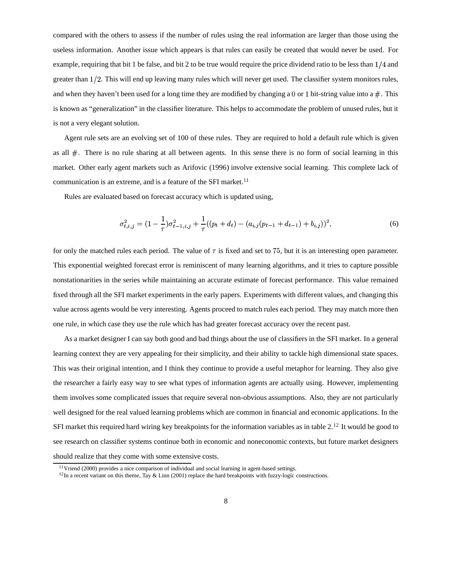compared with the others to assess if the number of rules using the real information are larger than those using the useless information. Another issue which appears is that rules can easily be created that would never be used. For example, requiring that bit 1 be false, and bit 2 to be true would require the price dividend ratio to be less than  $1/4$  and greater than 1/2. This will end up leaving many rules which will never get used. The classifier system monitors rules, and when they haven't been used for a long time they are modified by changing a 0 or 1 bit-string value into a  $\#$ . This is known as "generalization" in the classifier literature. This helps to accommodate the problem of unused rules, but it is not a very elegant solution.

Agent rule sets are an evolving set of 100 of these rules. They are required to hold a default rule which is given as all  $#$ . There is no rule sharing at all between agents. In this sense there is no form of social learning in this market. Other early agent markets such as Arifovic (1996) involve extensive social learning. This complete lack of communication is an extreme, and is a feature of the SFI market.<sup>11</sup>

Rules are evaluated based on forecast accuracy which is updated using,

$$
\sigma_{t,i,j}^2 = (1 - \frac{1}{\tau})\sigma_{t-1,i,j}^2 + \frac{1}{\tau}((p_t + d_t) - (a_{i,j}(p_{t-1} + d_{t-1}) + b_{i,j}))^2,
$$
\n(6)

for only the matched rules each period. The value of  $\tau$  is fixed and set to 75, but it is an interesting open parameter. This exponential weighted forecast error is reminiscent of many learning algorithms, and it tries to capture possible nonstationarities in the series while maintaining an accurate estimate of forecast performance. This value remained fixed through all the SFI market experiments in the early papers. Experiments with different values, and changing this value across agents would be very interesting. Agents proceed to match rules each period. They may match more then one rule, in which case they use the rule which has had greater forecast accuracy over the recent past.

As a market designer I can say both good and bad things about the use of classifiers in the SFI market. In a general learning context they are very appealing for their simplicity, and their ability to tackle high dimensional state spaces. This was their original intention, and I think they continue to provide a useful metaphor for learning. They also give the researcher a fairly easy way to see what types of information agents are actually using. However, implementing them involves some complicated issues that require several non-obvious assumptions. Also, they are not particularly well designed for the real valued learning problems which are common in financial and economic applications. In the SFI market this required hard wiring key breakpoints for the information variables as in table  $2<sup>12</sup>$  It would be good to see research on classifier systems continue both in economic and noneconomic contexts, but future market designers should realize that they come with some extensive costs.

<sup>11</sup>Vriend (2000) provides a nice comparison of individual and social learning in agent-based settings.

 $12$ In a recent variant on this theme, Tay & Linn (2001) replace the hard breakpoints with fuzzy-logic constructions.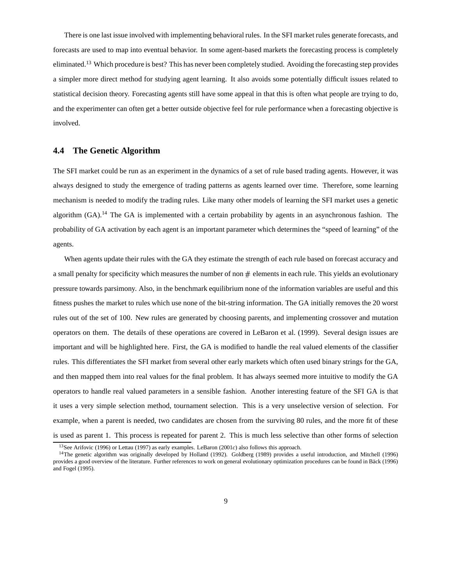There is one last issue involved with implementing behavioral rules. In the SFI market rules generate forecasts, and forecasts are used to map into eventual behavior. In some agent-based markets the forecasting process is completely eliminated.<sup>13</sup> Which procedure is best? This has never been completely studied. Avoiding the forecasting step provides a simpler more direct method for studying agent learning. It also avoids some potentially difficult issues related to statistical decision theory. Forecasting agents still have some appeal in that this is often what people are trying to do, and the experimenter can often get a better outside objective feel for rule performance when a forecasting objective is involved.

#### **4.4 The Genetic Algorithm**

The SFI market could be run as an experiment in the dynamics of a set of rule based trading agents. However, it was always designed to study the emergence of trading patterns as agents learned over time. Therefore, some learning mechanism is needed to modify the trading rules. Like many other models of learning the SFI market uses a genetic algorithm  $(GA)$ <sup>14</sup>. The GA is implemented with a certain probability by agents in an asynchronous fashion. The probability of GA activation by each agent is an important parameter which determines the "speed of learning" of the agents.

When agents update their rules with the GA they estimate the strength of each rule based on forecast accuracy and a small penalty for specificity which measures the number of non  $\#$  elements in each rule. This yields an evolutionary pressure towards parsimony. Also, in the benchmark equilibrium none of the information variables are useful and this fitness pushes the market to rules which use none of the bit-string information. The GA initially removes the 20 worst rules out of the set of 100. New rules are generated by choosing parents, and implementing crossover and mutation operators on them. The details of these operations are covered in LeBaron et al. (1999). Several design issues are important and will be highlighted here. First, the GA is modified to handle the real valued elements of the classifier rules. This differentiates the SFI market from several other early markets which often used binary strings for the GA, and then mapped them into real values for the final problem. It has always seemed more intuitive to modify the GA operators to handle real valued parameters in a sensible fashion. Another interesting feature of the SFI GA is that it uses a very simple selection method, tournament selection. This is a very unselective version of selection. For example, when a parent is needed, two candidates are chosen from the surviving 80 rules, and the more fit of these is used as parent 1. This process is repeated for parent 2. This is much less selective than other forms of selection

<sup>13</sup>See Arifovic (1996) or Lettau (1997) as early examples. LeBaron (2001*c*) also follows this approach.

<sup>&</sup>lt;sup>14</sup>The genetic algorithm was originally developed by Holland (1992). Goldberg (1989) provides a useful introduction, and Mitchell (1996) provides a good overview of the literature. Further references to work on general evolutionary optimization procedures can be found in Bäck (1996) and Fogel (1995).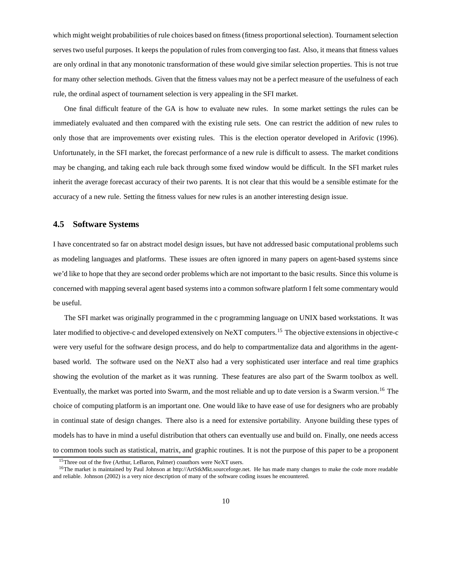which might weight probabilities of rule choices based on fitness (fitness proportional selection). Tournament selection serves two useful purposes. It keeps the population of rules from converging too fast. Also, it means that fitness values are only ordinal in that any monotonic transformation of these would give similar selection properties. This is not true for many other selection methods. Given that the fitness values may not be a perfect measure of the usefulness of each rule, the ordinal aspect of tournament selection is very appealing in the SFI market.

One final difficult feature of the GA is how to evaluate new rules. In some market settings the rules can be immediately evaluated and then compared with the existing rule sets. One can restrict the addition of new rules to only those that are improvements over existing rules. This is the election operator developed in Arifovic (1996). Unfortunately, in the SFI market, the forecast performance of a new rule is difficult to assess. The market conditions may be changing, and taking each rule back through some fixed window would be difficult. In the SFI market rules inherit the average forecast accuracy of their two parents. It is not clear that this would be a sensible estimate for the accuracy of a new rule. Setting the fitness values for new rules is an another interesting design issue.

#### **4.5 Software Systems**

I have concentrated so far on abstract model design issues, but have not addressed basic computational problems such as modeling languages and platforms. These issues are often ignored in many papers on agent-based systems since we'd like to hope that they are second order problems which are not important to the basic results. Since this volume is concerned with mapping several agent based systems into a common software platform I felt some commentary would be useful.

The SFI market was originally programmed in the c programming language on UNIX based workstations. It was later modified to objective-c and developed extensively on NeXT computers.<sup>15</sup> The objective extensions in objective-c were very useful for the software design process, and do help to compartmentalize data and algorithms in the agentbased world. The software used on the NeXT also had a very sophisticated user interface and real time graphics showing the evolution of the market as it was running. These features are also part of the Swarm toolbox as well. Eventually, the market was ported into Swarm, and the most reliable and up to date version is a Swarm version.<sup>16</sup> The choice of computing platform is an important one. One would like to have ease of use for designers who are probably in continual state of design changes. There also is a need for extensive portability. Anyone building these types of models has to have in mind a useful distribution that others can eventually use and build on. Finally, one needs access to common tools such as statistical, matrix, and graphic routines. It is not the purpose of this paper to be a proponent

<sup>&</sup>lt;sup>15</sup>Three out of the five (Arthur, LeBaron, Palmer) coauthors were NeXT users.

<sup>&</sup>lt;sup>16</sup>The market is maintained by Paul Johnson at http://ArtStkMkt.sourceforge.net. He has made many changes to make the code more readable and reliable. Johnson (2002) is a very nice description of many of the software coding issues he encountered.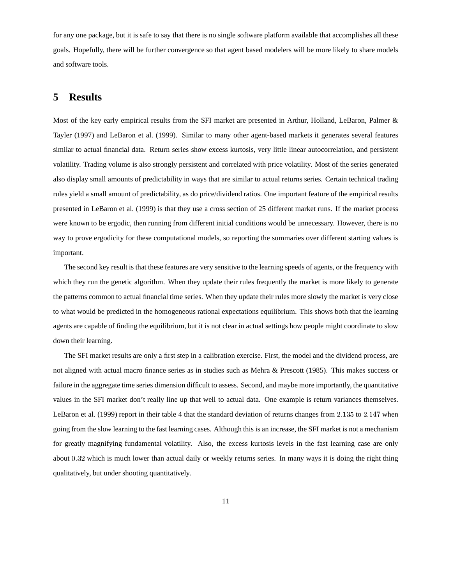for any one package, but it is safe to say that there is no single software platform available that accomplishes all these goals. Hopefully, there will be further convergence so that agent based modelers will be more likely to share models and software tools.

### **5 Results**

Most of the key early empirical results from the SFI market are presented in Arthur, Holland, LeBaron, Palmer & Tayler (1997) and LeBaron et al. (1999). Similar to many other agent-based markets it generates several features similar to actual financial data. Return series show excess kurtosis, very little linear autocorrelation, and persistent volatility. Trading volume is also strongly persistent and correlated with price volatility. Most of the series generated also display small amounts of predictability in ways that are similar to actual returns series. Certain technical trading rules yield a small amount of predictability, as do price/dividend ratios. One important feature of the empirical results presented in LeBaron et al. (1999) is that they use a cross section of 25 different market runs. If the market process were known to be ergodic, then running from different initial conditions would be unnecessary. However, there is no way to prove ergodicity for these computational models, so reporting the summaries over different starting values is important.

The second key result is that these features are very sensitive to the learning speeds of agents, or the frequency with which they run the genetic algorithm. When they update their rules frequently the market is more likely to generate the patterns common to actual financial time series. When they update their rules more slowly the market is very close to what would be predicted in the homogeneous rational expectations equilibrium. This shows both that the learning agents are capable of finding the equilibrium, but it is not clear in actual settings how people might coordinate to slow down their learning.

The SFI market results are only a first step in a calibration exercise. First, the model and the dividend process, are not aligned with actual macro finance series as in studies such as Mehra & Prescott (1985). This makes success or failure in the aggregate time series dimension difficult to assess. Second, and maybe more importantly, the quantitative values in the SFI market don't really line up that well to actual data. One example is return variances themselves. LeBaron et al.  $(1999)$  report in their table 4 that the standard deviation of returns changes from 2.135 to 2.147 when going from the slow learning to the fast learning cases. Although this is an increase, the SFI market is not a mechanism for greatly magnifying fundamental volatility. Also, the excess kurtosis levels in the fast learning case are only about 0.32 which is much lower than actual daily or weekly returns series. In many ways it is doing the right thing qualitatively, but under shooting quantitatively.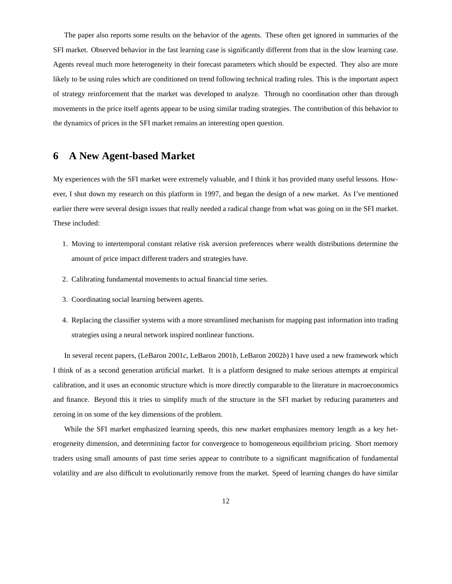The paper also reports some results on the behavior of the agents. These often get ignored in summaries of the SFI market. Observed behavior in the fast learning case is significantly different from that in the slow learning case. Agents reveal much more heterogeneity in their forecast parameters which should be expected. They also are more likely to be using rules which are conditioned on trend following technical trading rules. This is the important aspect of strategy reinforcement that the market was developed to analyze. Through no coordination other than through movements in the price itself agents appear to be using similar trading strategies. The contribution of this behavior to the dynamics of prices in the SFI market remains an interesting open question.

### **6 A New Agent-based Market**

My experiences with the SFI market were extremely valuable, and I think it has provided many useful lessons. However, I shut down my research on this platform in 1997, and began the design of a new market. As I've mentioned earlier there were several design issues that really needed a radical change from what was going on in the SFI market. These included:

- 1. Moving to intertemporal constant relative risk aversion preferences where wealth distributions determine the amount of price impact different traders and strategies have.
- 2. Calibrating fundamental movements to actual financial time series.
- 3. Coordinating social learning between agents.
- 4. Replacing the classifier systems with a more streamlined mechanism for mapping past information into trading strategies using a neural network inspired nonlinear functions.

In several recent papers, (LeBaron 2001*c*, LeBaron 2001*b*, LeBaron 2002*b*) I have used a new framework which I think of as a second generation artificial market. It is a platform designed to make serious attempts at empirical calibration, and it uses an economic structure which is more directly comparable to the literature in macroeconomics and finance. Beyond this it tries to simplify much of the structure in the SFI market by reducing parameters and zeroing in on some of the key dimensions of the problem.

While the SFI market emphasized learning speeds, this new market emphasizes memory length as a key heterogeneity dimension, and determining factor for convergence to homogeneous equilibrium pricing. Short memory traders using small amounts of past time series appear to contribute to a significant magnification of fundamental volatility and are also difficult to evolutionarily remove from the market. Speed of learning changes do have similar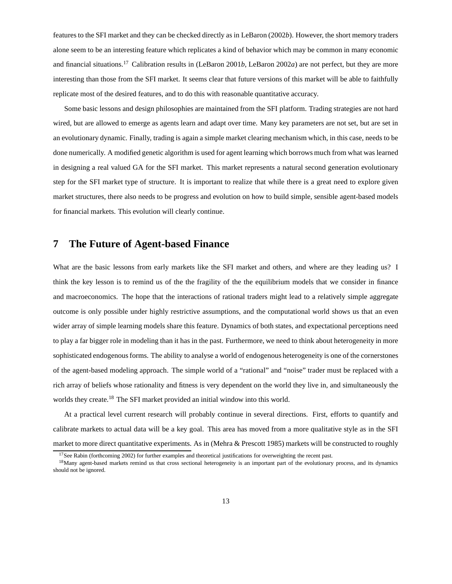features to the SFI market and they can be checked directly as in LeBaron (2002*b*). However, the short memory traders alone seem to be an interesting feature which replicates a kind of behavior which may be common in many economic and financial situations.<sup>17</sup> Calibration results in (LeBaron 2001*b*, LeBaron 2002*a*) are not perfect, but they are more interesting than those from the SFI market. It seems clear that future versions of this market will be able to faithfully replicate most of the desired features, and to do this with reasonable quantitative accuracy.

Some basic lessons and design philosophies are maintained from the SFI platform. Trading strategies are not hard wired, but are allowed to emerge as agents learn and adapt over time. Many key parameters are not set, but are set in an evolutionary dynamic. Finally, trading is again a simple market clearing mechanism which, in this case, needs to be done numerically. A modified genetic algorithm is used for agent learning which borrows much from what was learned in designing a real valued GA for the SFI market. This market represents a natural second generation evolutionary step for the SFI market type of structure. It is important to realize that while there is a great need to explore given market structures, there also needs to be progress and evolution on how to build simple, sensible agent-based models for financial markets. This evolution will clearly continue.

# **7 The Future of Agent-based Finance**

What are the basic lessons from early markets like the SFI market and others, and where are they leading us? I think the key lesson is to remind us of the the fragility of the the equilibrium models that we consider in finance and macroeconomics. The hope that the interactions of rational traders might lead to a relatively simple aggregate outcome is only possible under highly restrictive assumptions, and the computational world shows us that an even wider array of simple learning models share this feature. Dynamics of both states, and expectational perceptions need to play a far bigger role in modeling than it has in the past. Furthermore, we need to think about heterogeneity in more sophisticated endogenous forms. The ability to analyse a world of endogenous heterogeneity is one of the cornerstones of the agent-based modeling approach. The simple world of a "rational" and "noise" trader must be replaced with a rich array of beliefs whose rationality and fitness is very dependent on the world they live in, and simultaneously the worlds they create.<sup>18</sup> The SFI market provided an initial window into this world.

At a practical level current research will probably continue in several directions. First, efforts to quantify and calibrate markets to actual data will be a key goal. This area has moved from a more qualitative style as in the SFI market to more direct quantitative experiments. As in (Mehra & Prescott 1985) markets will be constructed to roughly

<sup>&</sup>lt;sup>17</sup>See Rabin (forthcoming 2002) for further examples and theoretical justifications for overweighting the recent past.

<sup>&</sup>lt;sup>18</sup>Many agent-based markets remind us that cross sectional heterogeneity is an important part of the evolutionary process, and its dynamics should not be ignored.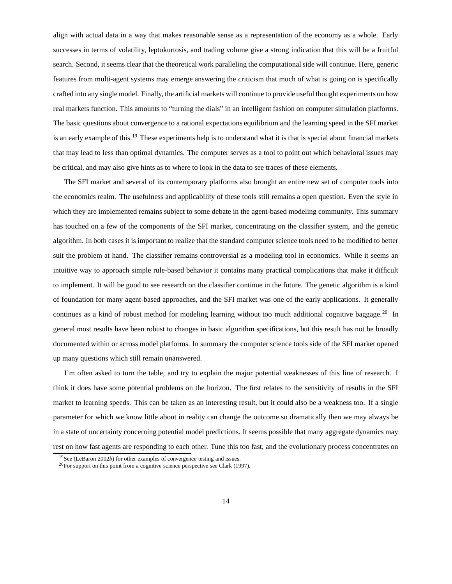align with actual data in a way that makes reasonable sense as a representation of the economy as a whole. Early successes in terms of volatility, leptokurtosis, and trading volume give a strong indication that this will be a fruitful search. Second, it seems clear that the theoretical work paralleling the computational side will continue. Here, generic features from multi-agent systems may emerge answering the criticism that much of what is going on is specifically crafted into any single model. Finally, the artificial markets will continue to provide useful thought experiments on how real markets function. This amounts to "turning the dials" in an intelligent fashion on computer simulation platforms. The basic questions about convergence to a rational expectations equilibrium and the learning speed in the SFI market is an early example of this.<sup>19</sup> These experiments help is to understand what it is that is special about financial markets that may lead to less than optimal dynamics. The computer serves as a tool to point out which behavioral issues may be critical, and may also give hints as to where to look in the data to see traces of these elements.

The SFI market and several of its contemporary platforms also brought an entire new set of computer tools into the economics realm. The usefulness and applicability of these tools still remains a open question. Even the style in which they are implemented remains subject to some debate in the agent-based modeling community. This summary has touched on a few of the components of the SFI market, concentrating on the classifier system, and the genetic algorithm. In both cases it is important to realize that the standard computer science tools need to be modified to better suit the problem at hand. The classifier remains controversial as a modeling tool in economics. While it seems an intuitive way to approach simple rule-based behavior it contains many practical complications that make it difficult to implement. It will be good to see research on the classifier continue in the future. The genetic algorithm is a kind of foundation for many agent-based approaches, and the SFI market was one of the early applications. It generally continues as a kind of robust method for modeling learning without too much additional cognitive baggage.<sup>20</sup> In general most results have been robust to changes in basic algorithm specifications, but this result has not be broadly documented within or across model platforms. In summary the computer science tools side of the SFI market opened up many questions which still remain unanswered.

I'm often asked to turn the table, and try to explain the major potential weaknesses of this line of research. I think it does have some potential problems on the horizon. The first relates to the sensitivity of results in the SFI market to learning speeds. This can be taken as an interesting result, but it could also be a weakness too. If a single parameter for which we know little about in reality can change the outcome so dramatically then we may always be in a state of uncertainty concerning potential model predictions. It seems possible that many aggregate dynamics may rest on how fast agents are responding to each other. Tune this too fast, and the evolutionary process concentrates on

<sup>19</sup>See (LeBaron 2002*b*) for other examples of convergence testing and issues.

<sup>20</sup>For support on this point from a cognitive science perspective see Clark (1997).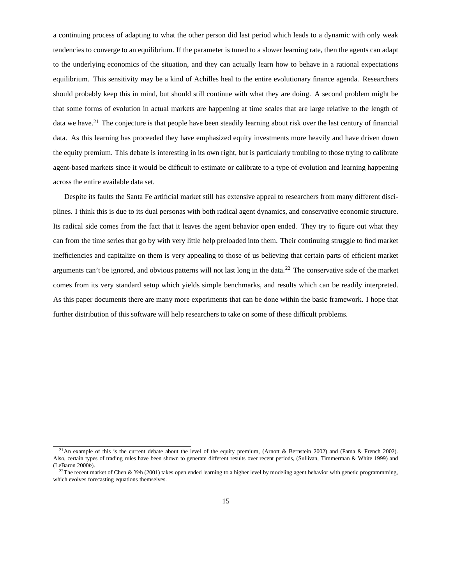a continuing process of adapting to what the other person did last period which leads to a dynamic with only weak tendencies to converge to an equilibrium. If the parameter is tuned to a slower learning rate, then the agents can adapt to the underlying economics of the situation, and they can actually learn how to behave in a rational expectations equilibrium. This sensitivity may be a kind of Achilles heal to the entire evolutionary finance agenda. Researchers should probably keep this in mind, but should still continue with what they are doing. A second problem might be that some forms of evolution in actual markets are happening at time scales that are large relative to the length of data we have.<sup>21</sup> The conjecture is that people have been steadily learning about risk over the last century of financial data. As this learning has proceeded they have emphasized equity investments more heavily and have driven down the equity premium. This debate is interesting in its own right, but is particularly troubling to those trying to calibrate agent-based markets since it would be difficult to estimate or calibrate to a type of evolution and learning happening across the entire available data set.

Despite its faults the Santa Fe artificial market still has extensive appeal to researchers from many different disciplines. I think this is due to its dual personas with both radical agent dynamics, and conservative economic structure. Its radical side comes from the fact that it leaves the agent behavior open ended. They try to figure out what they can from the time series that go by with very little help preloaded into them. Their continuing struggle to find market inefficiencies and capitalize on them is very appealing to those of us believing that certain parts of efficient market arguments can't be ignored, and obvious patterns will not last long in the data.<sup>22</sup> The conservative side of the market comes from its very standard setup which yields simple benchmarks, and results which can be readily interpreted. As this paper documents there are many more experiments that can be done within the basic framework. I hope that further distribution of this software will help researchers to take on some of these difficult problems.

<sup>&</sup>lt;sup>21</sup>An example of this is the current debate about the level of the equity premium, (Arnott & Bernstein 2002) and (Fama & French 2002). Also, certain types of trading rules have been shown to generate different results over recent periods, (Sullivan, Timmerman & White 1999) and (LeBaron 2000*b*).

 $^{22}$ The recent market of Chen & Yeh (2001) takes open ended learning to a higher level by modeling agent behavior with genetic programmming, which evolves forecasting equations themselves.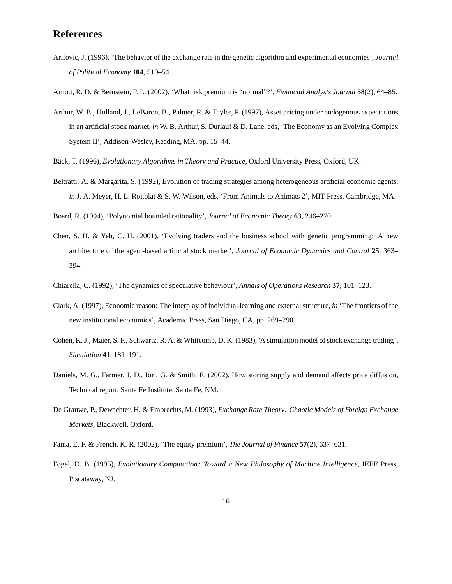### **References**

- Arifovic, J. (1996), 'The behavior of the exchange rate in the genetic algorithm and experimental economies', *Journal of Political Economy* **104**, 510–541.
- Arnott, R. D. & Bernstein, P. L. (2002), 'What risk premium is "normal"?', *Financial Analysts Journal* **58**(2), 64–85.
- Arthur, W. B., Holland, J., LeBaron, B., Palmer, R. & Tayler, P. (1997), Asset pricing under endogenous expectations in an artificial stock market, *in* W. B. Arthur, S. Durlauf & D. Lane, eds, 'The Economy as an Evolving Complex System II', Addison-Wesley, Reading, MA, pp. 15–44.
- Bäck, T. (1996), *Evolutionary Algorithms in Theory and Practice*, Oxford University Press, Oxford, UK.
- Beltratti, A. & Margarita, S. (1992), Evolution of trading strategies among heterogeneous artificial economic agents, *in* J. A. Meyer, H. L. Roitblat & S. W. Wilson, eds, 'From Animals to Animats 2', MIT Press, Cambridge, MA.
- Board, R. (1994), 'Polynomial bounded rationality', *Journal of Economic Theory* **63**, 246–270.
- Chen, S. H. & Yeh, C. H. (2001), 'Evolving traders and the business school with genetic programming: A new architecture of the agent-based artificial stock market', *Journal of Economic Dynamics and Control* **25**, 363– 394.
- Chiarella, C. (1992), 'The dynamics of speculative behaviour', *Annals of Operations Research* **37**, 101–123.
- Clark, A. (1997), Economic reason: The interplay of individual learning and external structure, *in* 'The frontiers of the new institutional economics', Academic Press, San Diego, CA, pp. 269–290.
- Cohen, K. J., Maier, S. F., Schwartz, R. A. & Whitcomb, D. K. (1983), 'A simulation model ofstock exchange trading', *Simulation* **41**, 181–191.
- Daniels, M. G., Farmer, J. D., Iori, G. & Smith, E. (2002), How storing supply and demand affects price diffusion, Technical report, Santa Fe Institute, Santa Fe, NM.
- De Grauwe, P., Dewachter, H. & Embrechts, M. (1993), *Exchange Rate Theory: Chaotic Models of Foreign Exchange Markets*, Blackwell, Oxford.
- Fama, E. F. & French, K. R. (2002), 'The equity premium', *The Journal of Finance* **57**(2), 637–631.
- Fogel, D. B. (1995), *Evolutionary Computation: Toward a New Philosophy of Machine Intelligence*, IEEE Press, Piscataway, NJ.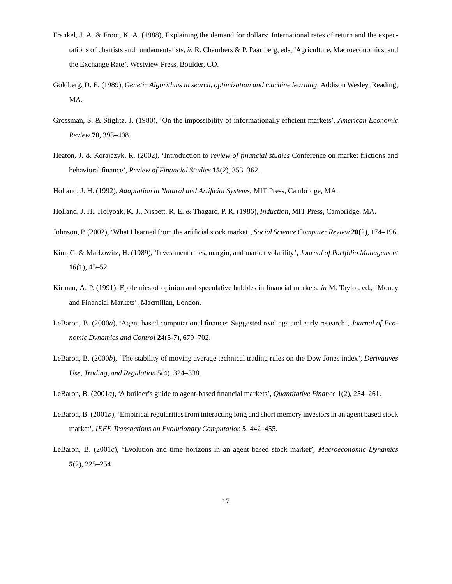- Frankel, J. A. & Froot, K. A. (1988), Explaining the demand for dollars: International rates of return and the expectations of chartists and fundamentalists, *in* R. Chambers & P. Paarlberg, eds, 'Agriculture, Macroeconomics, and the Exchange Rate', Westview Press, Boulder, CO.
- Goldberg, D. E. (1989), *Genetic Algorithms in search, optimization and machine learning*, Addison Wesley, Reading, MA.
- Grossman, S. & Stiglitz, J. (1980), 'On the impossibility of informationally efficient markets', *American Economic Review* **70**, 393–408.
- Heaton, J. & Korajczyk, R. (2002), 'Introduction to *review of financial studies* Conference on market frictions and behavioral finance', *Review of Financial Studies* **15**(2), 353–362.
- Holland, J. H. (1992), *Adaptation in Natural and Artificial Systems*, MIT Press, Cambridge, MA.
- Holland, J. H., Holyoak, K. J., Nisbett, R. E. & Thagard, P. R. (1986), *Induction*, MIT Press, Cambridge, MA.
- Johnson, P. (2002), 'What I learned from the artificial stock market', *Social Science Computer Review* **20**(2), 174–196.
- Kim, G. & Markowitz, H. (1989), 'Investment rules, margin, and market volatility', *Journal of Portfolio Management* **16**(1), 45–52.
- Kirman, A. P. (1991), Epidemics of opinion and speculative bubbles in financial markets, *in* M. Taylor, ed., 'Money and Financial Markets', Macmillan, London.
- LeBaron, B. (2000*a*), 'Agent based computational finance: Suggested readings and early research', *Journal of Economic Dynamics and Control* **24**(5-7), 679–702.
- LeBaron, B. (2000*b*), 'The stability of moving average technical trading rules on the Dow Jones index', *Derivatives Use, Trading, and Regulation* **5**(4), 324–338.
- LeBaron, B. (2001*a*), 'A builder's guide to agent-based financial markets', *Quantitative Finance* **1**(2), 254–261.
- LeBaron, B. (2001*b*), 'Empirical regularities from interacting long and short memory investors in an agent based stock market', *IEEE Transactions on Evolutionary Computation* **5**, 442–455.
- LeBaron, B. (2001*c*), 'Evolution and time horizons in an agent based stock market', *Macroeconomic Dynamics* **5**(2), 225–254.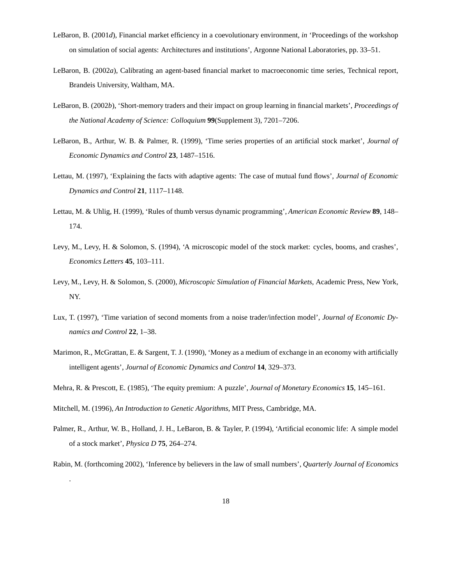- LeBaron, B. (2001*d*), Financial market efficiency in a coevolutionary environment, *in* 'Proceedings of the workshop on simulation of social agents: Architectures and institutions', Argonne National Laboratories, pp. 33–51.
- LeBaron, B. (2002*a*), Calibrating an agent-based financial market to macroeconomic time series, Technical report, Brandeis University, Waltham, MA.
- LeBaron, B. (2002*b*), 'Short-memory traders and their impact on group learning in financial markets', *Proceedings of the National Academy of Science: Colloquium* **99**(Supplement 3), 7201–7206.
- LeBaron, B., Arthur, W. B. & Palmer, R. (1999), 'Time series properties of an artificial stock market', *Journal of Economic Dynamics and Control* **23**, 1487–1516.
- Lettau, M. (1997), 'Explaining the facts with adaptive agents: The case of mutual fund flows', *Journal of Economic Dynamics and Control* **21**, 1117–1148.
- Lettau, M. & Uhlig, H. (1999), 'Rules of thumb versus dynamic programming', *American Economic Review* **89**, 148– 174.
- Levy, M., Levy, H. & Solomon, S. (1994), 'A microscopic model of the stock market: cycles, booms, and crashes', *Economics Letters* **45**, 103–111.
- Levy, M., Levy, H. & Solomon, S. (2000), *Microscopic Simulation of Financial Markets*, Academic Press, New York, NY.
- Lux, T. (1997), 'Time variation of second moments from a noise trader/infection model', *Journal of Economic Dynamics and Control* **22**, 1–38.
- Marimon, R., McGrattan, E. & Sargent, T. J. (1990), 'Money as a medium of exchange in an economy with artificially intelligent agents', *Journal of Economic Dynamics and Control* **14**, 329–373.
- Mehra, R. & Prescott, E. (1985), 'The equity premium: A puzzle', *Journal of Monetary Economics* **15**, 145–161.

Mitchell, M. (1996), *An Introduction to Genetic Algorithms*, MIT Press, Cambridge, MA.

.

Palmer, R., Arthur, W. B., Holland, J. H., LeBaron, B. & Tayler, P. (1994), 'Artificial economic life: A simple model of a stock market', *Physica D* **75**, 264–274.

Rabin, M. (forthcoming 2002), 'Inference by believers in the law of small numbers', *Quarterly Journal of Economics*